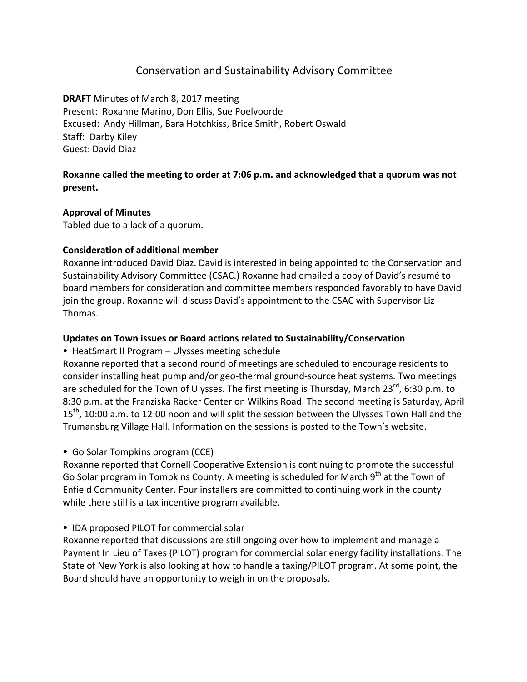# Conservation and Sustainability Advisory Committee

**DRAFT** Minutes of March 8, 2017 meeting Present: Roxanne Marino, Don Ellis, Sue Poelvoorde Excused: Andy Hillman, Bara Hotchkiss, Brice Smith, Robert Oswald Staff: Darby Kiley Guest: David Diaz

## **Roxanne called the meeting to order at 7:06 p.m. and acknowledged that a quorum was not present.**

## **Approval of Minutes**

Tabled due to a lack of a quorum.

## **Consideration of additional member**

Roxanne introduced David Diaz. David is interested in being appointed to the Conservation and Sustainability Advisory Committee (CSAC.) Roxanne had emailed a copy of David's resumé to board members for consideration and committee members responded favorably to have David join the group. Roxanne will discuss David's appointment to the CSAC with Supervisor Liz Thomas.

## Updates on Town issues or Board actions related to Sustainability/Conservation

• HeatSmart II Program – Ulysses meeting schedule

Roxanne reported that a second round of meetings are scheduled to encourage residents to consider installing heat pump and/or geo-thermal ground-source heat systems. Two meetings are scheduled for the Town of Ulysses. The first meeting is Thursday, March  $23^{rd}$ , 6:30 p.m. to 8:30 p.m. at the Franziska Racker Center on Wilkins Road. The second meeting is Saturday, April  $15<sup>th</sup>$ , 10:00 a.m. to 12:00 noon and will split the session between the Ulysses Town Hall and the Trumansburg Village Hall. Information on the sessions is posted to the Town's website.

• Go Solar Tompkins program (CCE)

Roxanne reported that Cornell Cooperative Extension is continuing to promote the successful Go Solar program in Tompkins County. A meeting is scheduled for March 9<sup>th</sup> at the Town of Enfield Community Center. Four installers are committed to continuing work in the county while there still is a tax incentive program available.

## • IDA proposed PILOT for commercial solar

Roxanne reported that discussions are still ongoing over how to implement and manage a Payment In Lieu of Taxes (PILOT) program for commercial solar energy facility installations. The State of New York is also looking at how to handle a taxing/PILOT program. At some point, the Board should have an opportunity to weigh in on the proposals.